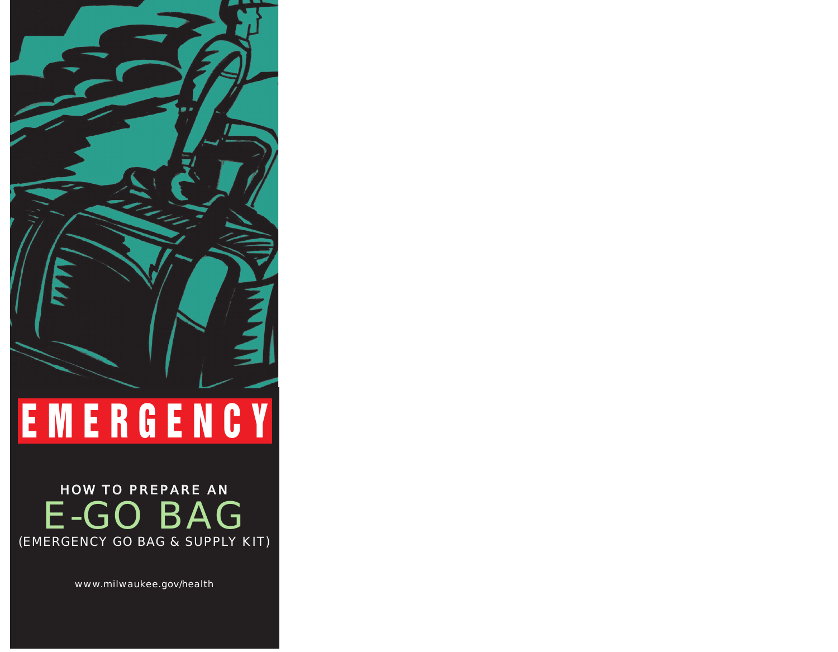# **EMERGENCY**

### HOW TO PREPARE AN E-GO BAG (EMERGENCY GO BAG & SUPPLY KIT)

www.milwaukee.gov/health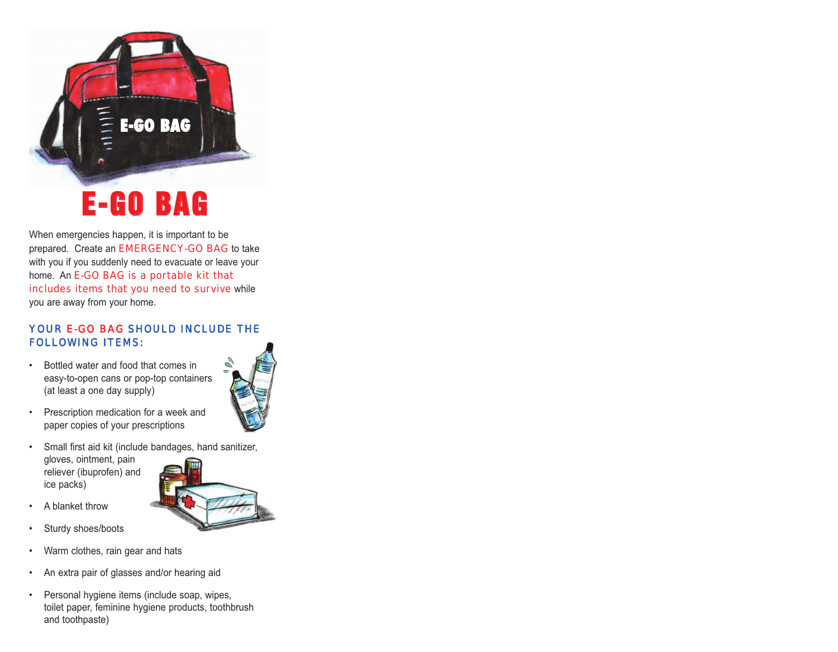## **E-GO BAG**

**E-GO BAG**

When emergencies happen, it is important to be prepared. Create an EMERGENCY-GO BAG to take with you if you suddenly need to evacuate or leave your home. An E-GO BAG is a portable kit that includes items that you need to survive while you are away from your home.

#### YOUR E-GO BAG SHOULD INCLUDE THE FOLLOWING ITEMS:

• Bottled water and food that comes in easy-to-open cans or pop-top containers (at least a one day supply)



#### • Small first aid kit (include bandages, hand sanitizer, gloves, ointment, pain reliever (ibuprofen) and ice packs)

- A blanket throw
- Sturdy shoes/boots
- Warm clothes, rain gear and hats
- An extra pair of glasses and/or hearing aid
- Personal hygiene items (include soap, wipes, toilet paper, feminine hygiene products, toothbrush and toothpaste)



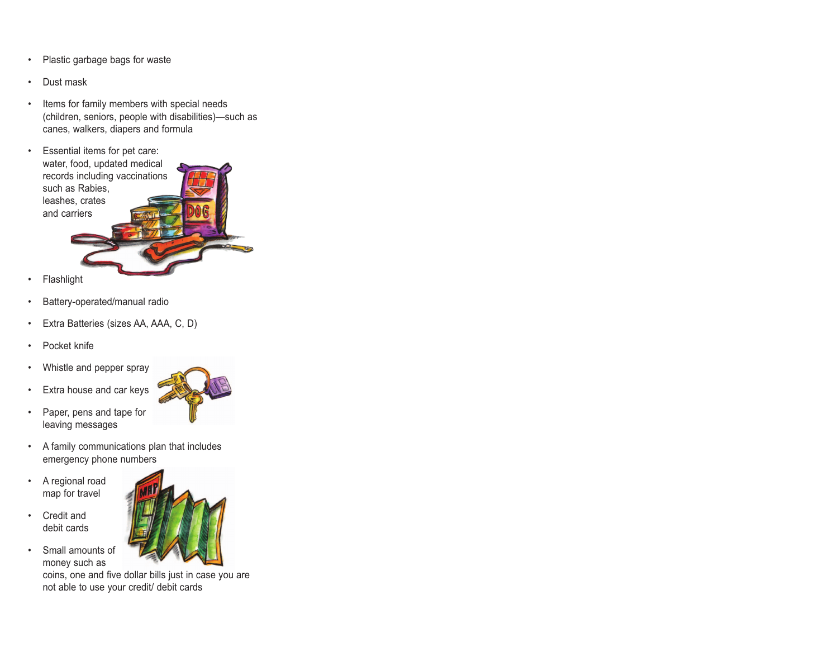- Plastic garbage bags for waste
- Dust mask
- Items for family members with special needs (children, seniors, people with disabilities)—such as canes, walkers, diapers and formula
- Essential items for pet care: water, food, updated medical records including vaccinations such as Rabies, leashes, crates and carriers
- **Flashlight**
- Battery-operated/manual radio
- Extra Batteries (sizes AA, AAA, C, D)
- Pocket knife
- Whistle and pepper spray
- Extra house and car keys
- Paper, pens and tape for leaving messages



- A family communications plan that includes emergency phone numbers
- A regional road map for travel
- Credit and debit cards
- Small amounts of money such as coins, one and five dollar bills just in case you are not able to use your credit/ debit cards

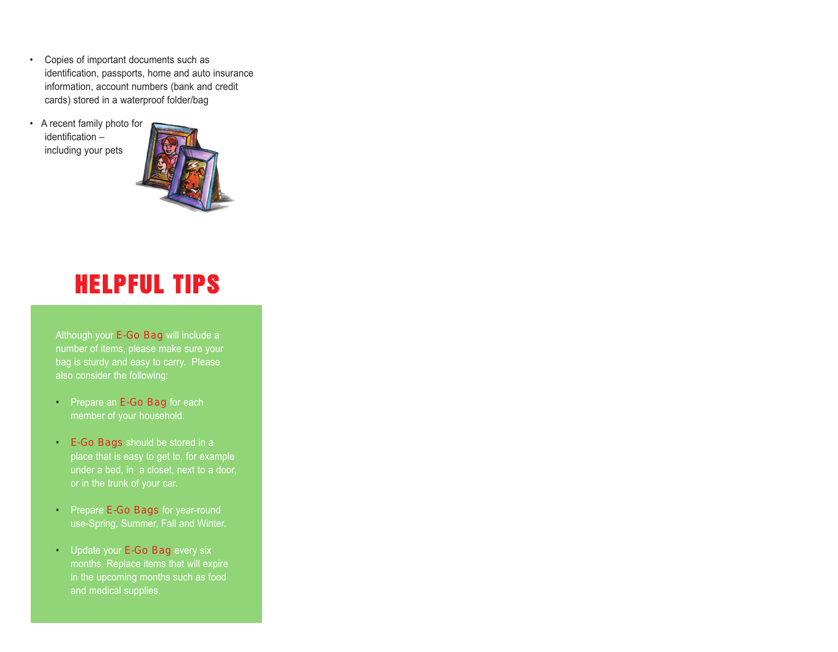- Copies of important documents such as identification, passports, home and auto insurance information, account numbers (bank and credit cards) stored in a waterproof folder/bag
- A recent family photo for identification – including your pets



### **HELPFUL TIPS**

Although your E-Go Bag will include a number of items, please make sure your bag is sturdy and easy to carry. Please also consider the following:

- Prepare an E-Go Bag for each member of your household.
- E-Go Bags should be stored in a place that is easy to get to, for example under a bed, in a closet, next to a door, or in the trunk of your car.
- Prepare E-Go Bags for year-round use-Spring, Summer, Fall and Winter.
- Update your E-Go Bag every six months. Replace items that will expire and medical supplies.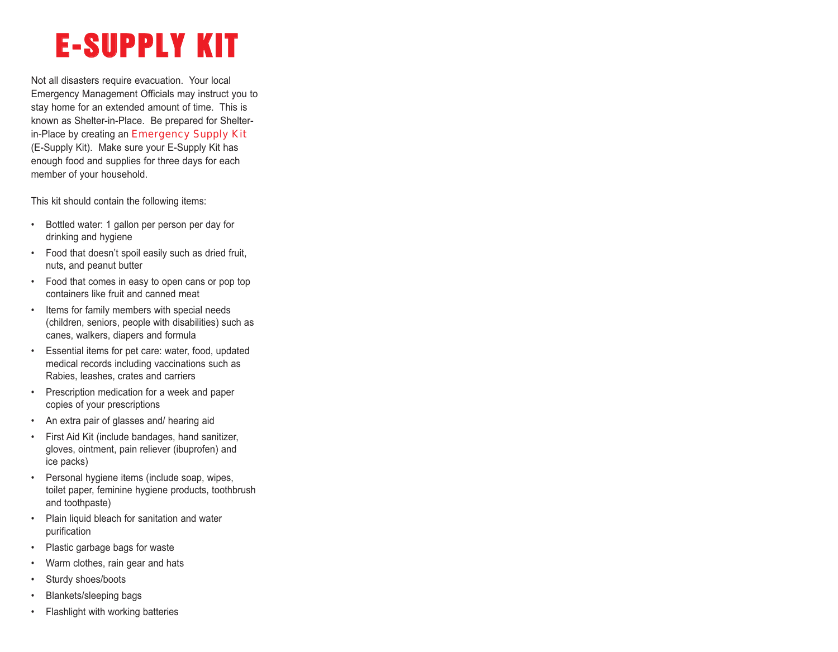## **E-SUPPLY KIT**

Not all disasters require evacuation. Your local Emergency Management Officials may instruct you to stay home for an extended amount of time. This is known as Shelter-in-Place. Be prepared for Shelterin-Place by creating an Emergency Supply Kit (E-Supply Kit). Make sure your E-Supply Kit has enough food and supplies for three days for each member of your household.

This kit should contain the following items:

- Bottled water: 1 gallon per person per day for drinking and hygiene
- Food that doesn't spoil easily such as dried fruit, nuts, and peanut butter
- Food that comes in easy to open cans or pop top containers like fruit and canned meat
- Items for family members with special needs (children, seniors, people with disabilities) such as canes, walkers, diapers and formula
- Essential items for pet care: water, food, updated medical records including vaccinations such as Rabies, leashes, crates and carriers
- Prescription medication for a week and paper copies of your prescriptions
- An extra pair of glasses and/ hearing aid
- First Aid Kit (include bandages, hand sanitizer, gloves, ointment, pain reliever (ibuprofen) and ice packs)
- Personal hygiene items (include soap, wipes, toilet paper, feminine hygiene products, toothbrush and toothpaste)
- Plain liquid bleach for sanitation and water purification
- Plastic garbage bags for waste
- Warm clothes, rain gear and hats
- Sturdy shoes/boots
- Blankets/sleeping bags
- Flashlight with working batteries